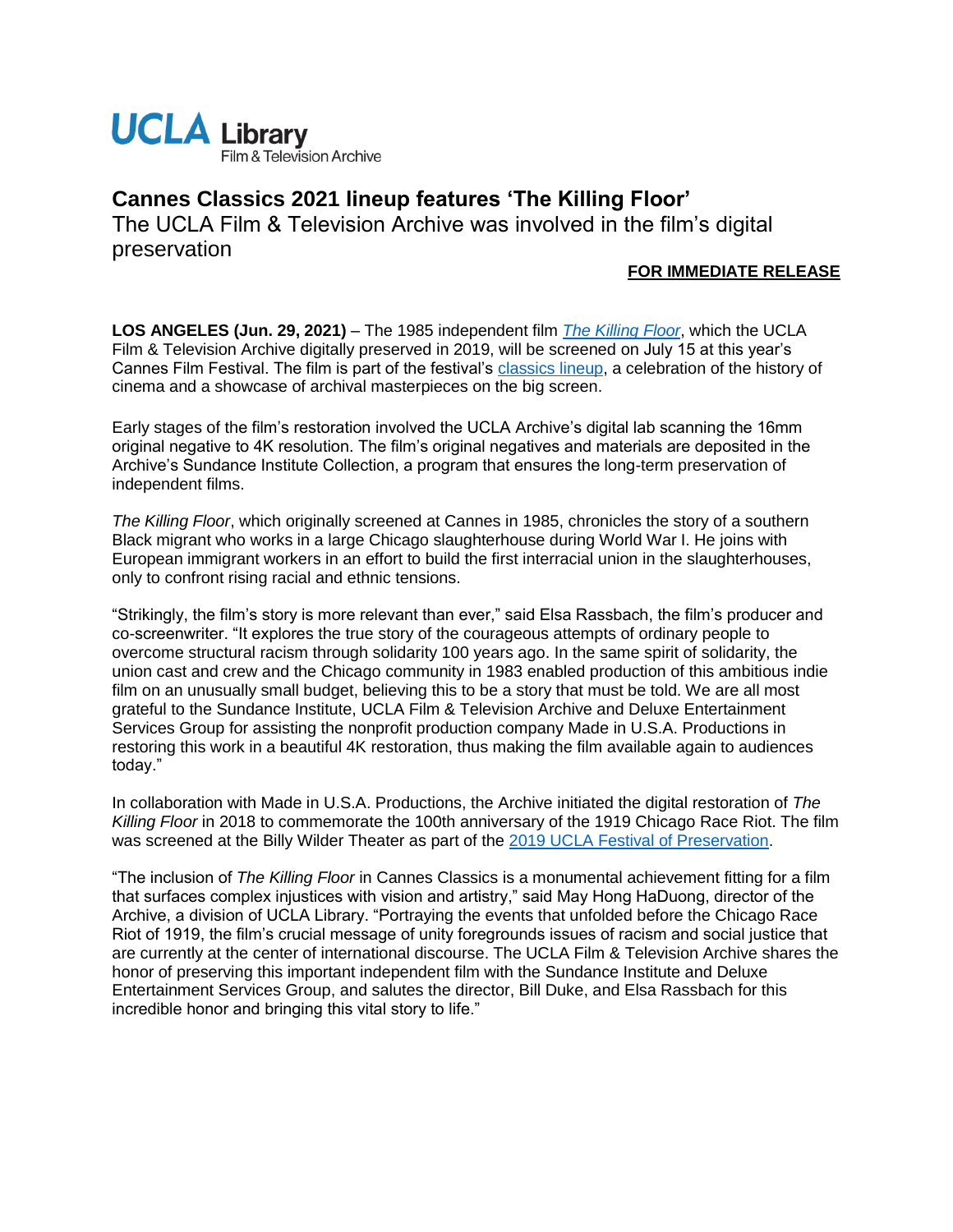

## **Cannes Classics 2021 lineup features 'The Killing Floor'**

The UCLA Film & Television Archive was involved in the film's digital preservation

## **FOR IMMEDIATE RELEASE**

**LOS ANGELES (Jun. 29, 2021)** – The 1985 independent film *[The Killing Floor](https://www.the-killing-floor.com/)*, which the UCLA Film & Television Archive digitally preserved in 2019, will be screened on July 15 at this year's Cannes Film Festival. The film is part of the festival's [classics lineup,](https://www.festival-cannes.com/en/infos-communiques/communique/articles/the-2021-cannes-classics-selection) a celebration of the history of cinema and a showcase of archival masterpieces on the big screen.

Early stages of the film's restoration involved the UCLA Archive's digital lab scanning the 16mm original negative to 4K resolution. The film's original negatives and materials are deposited in the Archive's Sundance Institute Collection, a program that ensures the long-term preservation of independent films.

*The Killing Floor*, which originally screened at Cannes in 1985, chronicles the story of a southern Black migrant who works in a large Chicago slaughterhouse during World War I. He joins with European immigrant workers in an effort to build the first interracial union in the slaughterhouses, only to confront rising racial and ethnic tensions.

"Strikingly, the film's story is more relevant than ever," said Elsa Rassbach, the film's producer and co-screenwriter. "It explores the true story of the courageous attempts of ordinary people to overcome structural racism through solidarity 100 years ago. In the same spirit of solidarity, the union cast and crew and the Chicago community in 1983 enabled production of this ambitious indie film on an unusually small budget, believing this to be a story that must be told. We are all most grateful to the Sundance Institute, UCLA Film & Television Archive and Deluxe Entertainment Services Group for assisting the nonprofit production company Made in U.S.A. Productions in restoring this work in a beautiful 4K restoration, thus making the film available again to audiences today."

In collaboration with Made in U.S.A. Productions, the Archive initiated the digital restoration of *The Killing Floor* in 2018 to commemorate the 100th anniversary of the 1919 Chicago Race Riot. The film was screened at the Billy Wilder Theater as part of the [2019 UCLA Festival of Preservation.](https://www.cinema.ucla.edu/events/2019/ucla-festival-of-preservation)

"The inclusion of *The Killing Floor* in Cannes Classics is a monumental achievement fitting for a film that surfaces complex injustices with vision and artistry," said May Hong HaDuong, director of the Archive, a division of UCLA Library. "Portraying the events that unfolded before the Chicago Race Riot of 1919, the film's crucial message of unity foregrounds issues of racism and social justice that are currently at the center of international discourse. The UCLA Film & Television Archive shares the honor of preserving this important independent film with the Sundance Institute and Deluxe Entertainment Services Group, and salutes the director, Bill Duke, and Elsa Rassbach for this incredible honor and bringing this vital story to life."